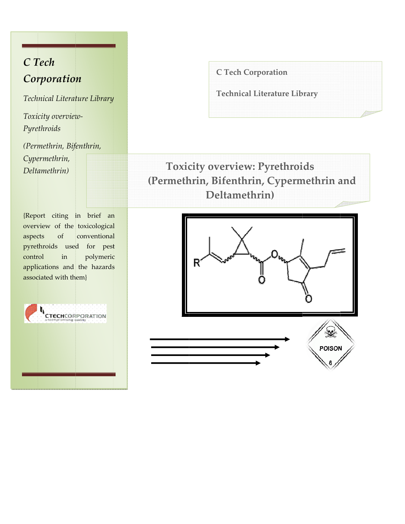# C Tech Corporation

Technical Literature Library

Toxicity overview-Pyrethroids

(Permethrin, Bifenthrin, Cypermethrin, Deltamethrin)

{Report citing in brief an overview of the toxicological aspects  $% \left( \left( \mathcal{A},\mathcal{A}\right) \right) =\left( \mathcal{A},\mathcal{A}\right)$  of conventional pyrethroids used for pest control  $in$ polymeric applications and the hazards associated with them}



**C Tech Corporation** 

**Technical Literature Library** 

**Toxicity overview: Pyrethroids** (Permethrin, Bifenthrin, Cypermethrin and Deltamethrin)

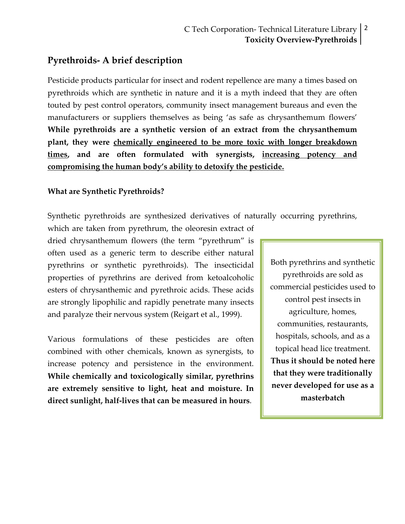# **Pyrethroids‐ A brief description**

Pesticide products particular for insect and rodent repellence are many a times based on pyrethroids which are synthetic in nature and it is a myth indeed that they are often touted by pest control operators, community insect management bureaus and even the manufacturers or suppliers themselves as being 'as safe as chrysanthemum flowers' **While pyrethroids are a synthetic version of an extract from the chrysanthemum plant, they were chemically engineered to be more toxic with longer breakdown times, and are often formulated with synergists, increasing potency and compromising the human body's ability to detoxify the pesticide.**

### **What are Synthetic Pyrethroids?**

Synthetic pyrethroids are synthesized derivatives of naturally occurring pyrethrins,

which are taken from pyrethrum, the oleoresin extract of dried chrysanthemum flowers (the term "pyrethrum" is often used as a generic term to describe either natural pyrethrins or synthetic pyrethroids). The insecticidal properties of pyrethrins are derived from ketoalcoholic esters of chrysanthemic and pyrethroic acids. These acids are strongly lipophilic and rapidly penetrate many insects and paralyze their nervous system (Reigart et al., 1999).

Various formulations of these pesticides are often combined with other chemicals, known as synergists, to increase potency and persistence in the environment. **While chemically and toxicologically similar, pyrethrins are extremely sensitive to light, heat and moisture. In direct sunlight, half‐lives that can be measured in hours**.

Both pyrethrins and synthetic pyrethroids are sold as commercial pesticides used to control pest insects in agriculture, homes, communities, restaurants, hospitals, schools, and as a topical head lice treatment. **Thus it should be noted here that they were traditionally never developed for use as a masterbatch**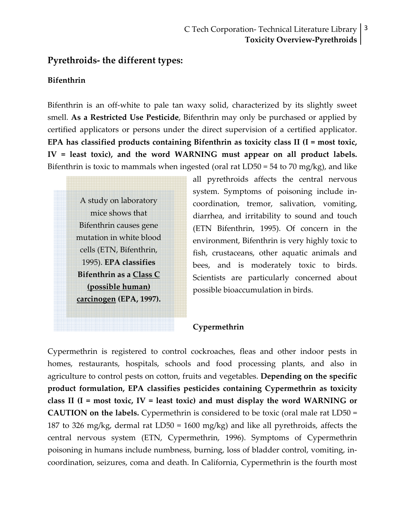# **Pyrethroids‐ the different types:**

#### **Bifenthrin**

Bifenthrin is an off-white to pale tan waxy solid, characterized by its slightly sweet smell. **As a Restricted Use Pesticide**, Bifenthrin may only be purchased or applied by certified applicators or persons under the direct supervision of a certified applicator. **EPA has classified products containing Bifenthrin as toxicity class II (I = most toxic, IV = least toxic), and the word WARNING must appear on all product labels.** Bifenthrin is toxic to mammals when ingested (oral rat LD50 = 54 to 70 mg/kg), and like

A study on laboratory mice shows that Bifenthrin causes gene mutation in white blood cells (ETN, Bifenthrin, 1995). **EPA classifies Bifenthrin as a Class C (possible human) carcinogen (EPA, 1997).** all pyrethroids affects the central nervous system. Symptoms of poisoning include in‐ coordination, tremor, salivation, vomiting, diarrhea, and irritability to sound and touch (ETN Bifenthrin, 1995). Of concern in the environment, Bifenthrin is very highly toxic to fish, crustaceans, other aquatic animals and bees, and is moderately toxic to birds. Scientists are particularly concerned about possible bioaccumulation in birds.

#### **Cypermethrin**

Cypermethrin is registered to control cockroaches, fleas and other indoor pests in homes, restaurants, hospitals, schools and food processing plants, and also in agriculture to control pests on cotton, fruits and vegetables. **Depending on the specific product formulation, EPA classifies pesticides containing Cypermethrin as toxicity class II (I = most toxic, IV = least toxic) and must display the word WARNING or CAUTION on the labels.** Cypermethrin is considered to be toxic (oral male rat LD50 = 187 to 326 mg/kg, dermal rat LD50 = 1600 mg/kg) and like all pyrethroids, affects the central nervous system (ETN, Cypermethrin, 1996). Symptoms of Cypermethrin poisoning in humans include numbness, burning, loss of bladder control, vomiting, in‐ coordination, seizures, coma and death. In California, Cypermethrin is the fourth most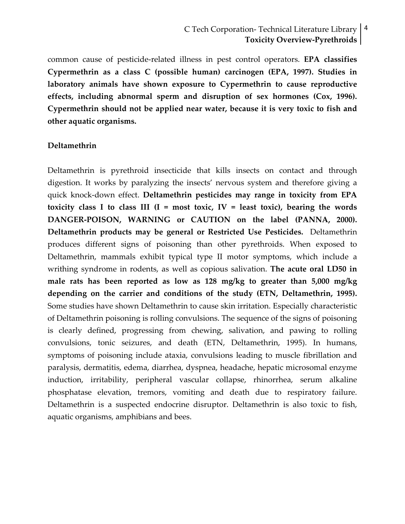# C Tech Corporation‐ Technical Literature Library 4 **Toxicity Overview‐Pyrethroids**

common cause of pesticide‐related illness in pest control operators. **EPA classifies Cypermethrin as a class C (possible human) carcinogen (EPA, 1997). Studies in laboratory animals have shown exposure to Cypermethrin to cause reproductive effects, including abnormal sperm and disruption of sex hormones (Cox, 1996). Cypermethrin should not be applied near water, because it is very toxic to fish and other aquatic organisms.**

#### **Deltamethrin**

Deltamethrin is pyrethroid insecticide that kills insects on contact and through digestion. It works by paralyzing the insects' nervous system and therefore giving a quick knock‐down effect. **Deltamethrin pesticides may range in toxicity from EPA toxicity class I to class III (I = most toxic, IV = least toxic), bearing the words DANGER‐POISON, WARNING or CAUTION on the label (PANNA, 2000). Deltamethrin products may be general or Restricted Use Pesticides.** Deltamethrin produces different signs of poisoning than other pyrethroids. When exposed to Deltamethrin, mammals exhibit typical type II motor symptoms, which include a writhing syndrome in rodents, as well as copious salivation. **The acute oral LD50 in male rats has been reported as low as 128 mg/kg to greater than 5,000 mg/kg depending on the carrier and conditions of the study (ETN, Deltamethrin, 1995).** Some studies have shown Deltamethrin to cause skin irritation. Especially characteristic of Deltamethrin poisoning is rolling convulsions. The sequence of the signs of poisoning is clearly defined, progressing from chewing, salivation, and pawing to rolling convulsions, tonic seizures, and death (ETN, Deltamethrin, 1995). In humans, symptoms of poisoning include ataxia, convulsions leading to muscle fibrillation and paralysis, dermatitis, edema, diarrhea, dyspnea, headache, hepatic microsomal enzyme induction, irritability, peripheral vascular collapse, rhinorrhea, serum alkaline phosphatase elevation, tremors, vomiting and death due to respiratory failure. Deltamethrin is a suspected endocrine disruptor. Deltamethrin is also toxic to fish, aquatic organisms, amphibians and bees.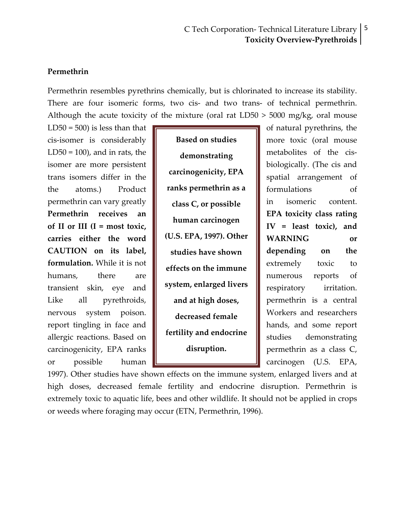#### **Permethrin**

Permethrin resembles pyrethrins chemically, but is chlorinated to increase its stability. There are four isomeric forms, two cis- and two trans- of technical permethrin. Although the acute toxicity of the mixture (oral rat  $LD50 > 5000$  mg/kg, oral mouse

 $LD50 = 500$  is less than that  $\sqrt{a^2 + b^2}$  of natural pyrethrins, the cis-isomer is considerably  $\|\cdot\|$  Based on studies  $\|\cdot\|$  more toxic (oral mouse LD50 = 100), and in rats, the  $\|\cdot\|$  demonstrating  $\|\cdot\|$  metabolites of the cisisomer are more persistent **biologically** biologically. (The cis and trans isomers differ in the  $\|\cdot\|$  calculately,  $\mathbb{R}^n$  spatial arrangement of the atoms.) Product **ranks permethrin as a** formulations of permethrin can vary greatly  $\|\cdot\|_{\text{class }C}$  or nossible  $\|\cdot\|$  in isomeric content. **Permethrin receives** an **EPA EPA toxicity** class rating of II or III (I = most toxic,  $\|\cdot\|$  is the set **of**  $\|\cdot\|$  IV = least toxic), and **carries** either the word  $\parallel$  (U.S. EPA, 1997). Other WARNING or **CAUTION** on its label,  $\|\cdot\|$  studies have shown  $\|\cdot\|$  depending on the **formulation.** While it is not  $\|\cdot\|$  extremely toxic to humans, there are  $\parallel$  **numerous** reports of transient skin, eye and  $\|\cdot\|$  system, enlarged livers  $\|\cdot\|$  respiratory irritation. Like all pyrethroids,  $\|\cdot\|$  and at high doses,  $\|\cdot\|$  permethrin is a central nervous system poison.  $\|\cdot\|$  degreesed famely  $\|\cdot\|$  Workers and researchers report tingling in face and  $\|\cdot\|$  hands, and some report allergic reactions. Based on  $\|\cdot\|$  is tudies demonstrating carcinogenicity, EPA ranks  $\parallel$  disruption.  $\parallel$  permethrin as a class C, or possible human  $\Box$  carcinogen (U.S. EPA,

**Based on studies demonstrating carcinogenicity, EPA class C, or possible human carcinogen (U.S. EPA, 1997). Other studies have shown effects on the immune system, enlarged livers and at high doses, decreased female fertility and endocrine disruption.**

1997). Other studies have shown effects on the immune system, enlarged livers and at high doses, decreased female fertility and endocrine disruption. Permethrin is extremely toxic to aquatic life, bees and other wildlife. It should not be applied in crops or weeds where foraging may occur (ETN, Permethrin, 1996).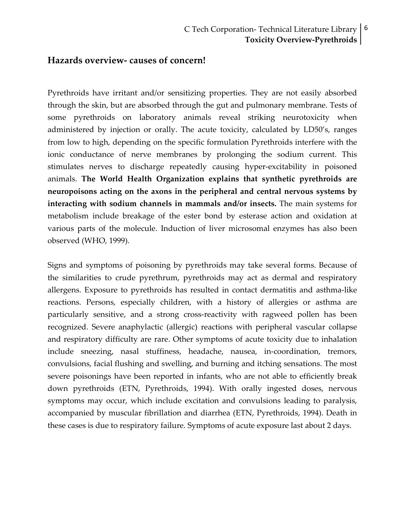#### **Hazards overview‐ causes of concern!**

Pyrethroids have irritant and/or sensitizing properties. They are not easily absorbed through the skin, but are absorbed through the gut and pulmonary membrane. Tests of some pyrethroids on laboratory animals reveal striking neurotoxicity when administered by injection or orally. The acute toxicity, calculated by LD50's, ranges from low to high, depending on the specific formulation Pyrethroids interfere with the ionic conductance of nerve membranes by prolonging the sodium current. This stimulates nerves to discharge repeatedly causing hyper‐excitability in poisoned animals. **The World Health Organization explains that synthetic pyrethroids are neuropoisons acting on the axons in the peripheral and central nervous systems by interacting with sodium channels in mammals and/or insects.** The main systems for metabolism include breakage of the ester bond by esterase action and oxidation at various parts of the molecule. Induction of liver microsomal enzymes has also been observed (WHO, 1999).

Signs and symptoms of poisoning by pyrethroids may take several forms. Because of the similarities to crude pyrethrum, pyrethroids may act as dermal and respiratory allergens. Exposure to pyrethroids has resulted in contact dermatitis and asthma‐like reactions. Persons, especially children, with a history of allergies or asthma are particularly sensitive, and a strong cross-reactivity with ragweed pollen has been recognized. Severe anaphylactic (allergic) reactions with peripheral vascular collapse and respiratory difficulty are rare. Other symptoms of acute toxicity due to inhalation include sneezing, nasal stuffiness, headache, nausea, in‐coordination, tremors, convulsions, facial flushing and swelling, and burning and itching sensations. The most severe poisonings have been reported in infants, who are not able to efficiently break down pyrethroids (ETN, Pyrethroids, 1994). With orally ingested doses, nervous symptoms may occur, which include excitation and convulsions leading to paralysis, accompanied by muscular fibrillation and diarrhea (ETN, Pyrethroids, 1994). Death in these cases is due to respiratory failure. Symptoms of acute exposure last about 2 days.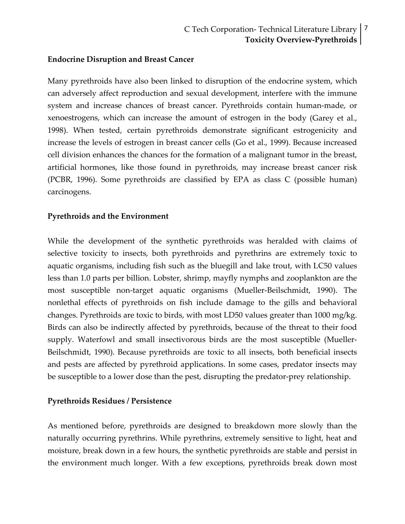#### **Endocrine Disruption and Breast Cancer**

Many pyrethroids have also been linked to disruption of the endocrine system, which can adversely affect reproduction and sexual development, interfere with the immune system and increase chances of breast cancer. Pyrethroids contain human-made, or xenoestrogens, which can increase the amount of estrogen in the body (Garey et al., 1998). When tested, certain pyrethroids demonstrate significant estrogenicity and increase the levels of estrogen in breast cancer cells (Go et al., 1999). Because increased cell division enhances the chances for the formation of a malignant tumor in the breast, artificial hormones, like those found in pyrethroids, may increase breast cancer risk (PCBR, 1996). Some pyrethroids are classified by EPA as class C (possible human) carcinogens.

#### **Pyrethroids and the Environment**

While the development of the synthetic pyrethroids was heralded with claims of selective toxicity to insects, both pyrethroids and pyrethrins are extremely toxic to aquatic organisms, including fish such as the bluegill and lake trout, with LC50 values less than 1.0 parts per billion. Lobster, shrimp, mayfly nymphs and zooplankton are the most susceptible non‐target aquatic organisms (Mueller‐Beilschmidt, 1990). The nonlethal effects of pyrethroids on fish include damage to the gills and behavioral changes. Pyrethroids are toxic to birds, with most LD50 values greater than 1000 mg/kg. Birds can also be indirectly affected by pyrethroids, because of the threat to their food supply. Waterfowl and small insectivorous birds are the most susceptible (Mueller‐ Beilschmidt, 1990). Because pyrethroids are toxic to all insects, both beneficial insects and pests are affected by pyrethroid applications. In some cases, predator insects may be susceptible to a lower dose than the pest, disrupting the predator-prey relationship.

#### **Pyrethroids Residues / Persistence**

As mentioned before, pyrethroids are designed to breakdown more slowly than the naturally occurring pyrethrins. While pyrethrins, extremely sensitive to light, heat and moisture, break down in a few hours, the synthetic pyrethroids are stable and persist in the environment much longer. With a few exceptions, pyrethroids break down most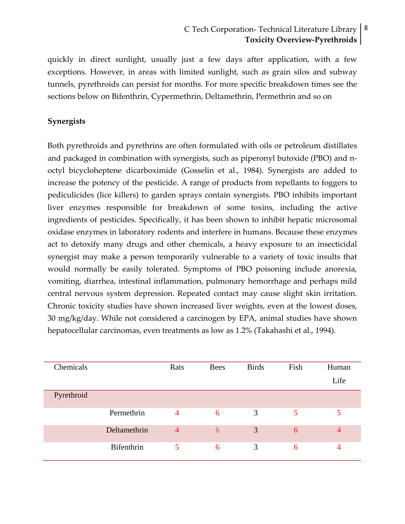# C Tech Corporation- Technical Literature Library | <sup>8</sup> **Toxicity Overview‐Pyrethroids**

quickly in direct sunlight, usually just a few days after application, with a few exceptions. However, in areas with limited sunlight, such as grain silos and subway tunnels, pyrethroids can persist for months. For more specific breakdown times see the sections below on Bifenthrin, Cypermethrin, Deltamethrin, Permethrin and so on

#### **Synergists**

Both pyrethroids and pyrethrins are often formulated with oils or petroleum distillates and packaged in combination with synergists, such as piperonyl butoxide (PBO) and n‐ octyl bicycloheptene dicarboximide (Gosselin et al., 1984). Synergists are added to increase the potency of the pesticide. A range of products from repellants to foggers to pediculicides (lice killers) to garden sprays contain synergists. PBO inhibits important liver enzymes responsible for breakdown of some toxins, including the active ingredients of pesticides. Specifically, it has been shown to inhibit hepatic microsomal oxidase enzymes in laboratory rodents and interfere in humans. Because these enzymes act to detoxify many drugs and other chemicals, a heavy exposure to an insecticidal synergist may make a person temporarily vulnerable to a variety of toxic insults that would normally be easily tolerated. Symptoms of PBO poisoning include anorexia, vomiting, diarrhea, intestinal inflammation, pulmonary hemorrhage and perhaps mild central nervous system depression. Repeated contact may cause slight skin irritation. Chronic toxicity studies have shown increased liver weights, even at the lowest doses, 30 mg/kg/day. While not considered a carcinogen by EPA, animal studies have shown hepatocellular carcinomas, even treatments as low as 1.2% (Takahashi et al., 1994).

| Chemicals  |              | Rats           | <b>Bees</b> | <b>Birds</b> | Fish | Human<br>Life  |
|------------|--------------|----------------|-------------|--------------|------|----------------|
| Pyrethroid |              |                |             |              |      |                |
|            | Permethrin   | $\overline{4}$ | 6           | 3            | 5    | 5              |
|            | Deltamethrin | $\overline{4}$ | 6           | 3            | 6    | $\overline{4}$ |
|            | Bifenthrin   | 5              | 6           | 3            | 6    | 4              |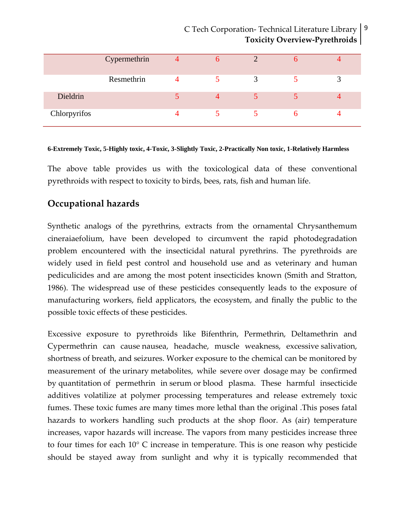# C Tech Corporation- Technical Literature Library | <sup>9</sup> **Toxicity Overview‐Pyrethroids**

|              | Cypermethrin | $\sigma$ |   |  |
|--------------|--------------|----------|---|--|
|              | Resmethrin   |          | 3 |  |
| Dieldrin     |              |          |   |  |
| Chlorpyrifos |              |          |   |  |

#### **6-Extremely Toxic, 5-Highly toxic, 4-Toxic, 3-Slightly Toxic, 2-Practically Non toxic, 1-Relatively Harmless**

The above table provides us with the toxicological data of these conventional pyrethroids with respect to toxicity to birds, bees, rats, fish and human life.

# **Occupational hazards**

Synthetic analogs of the pyrethrins, extracts from the ornamental Chrysanthemum cineraiaefolium, have been developed to circumvent the rapid photodegradation problem encountered with the insecticidal natural pyrethrins. The pyrethroids are widely used in field pest control and household use and as veterinary and human pediculicides and are among the most potent insecticides known (Smith and Stratton, 1986). The widespread use of these pesticides consequently leads to the exposure of manufacturing workers, field applicators, the ecosystem, and finally the public to the possible toxic effects of these pesticides.

Excessive exposure to pyrethroids like Bifenthrin, Permethrin, Deltamethrin and Cypermethrin can cause nausea, headache, muscle weakness, excessive salivation, shortness of breath, and seizures. Worker exposure to the chemical can be monitored by measurement of the urinary metabolites, while severe over dosage may be confirmed by quantitation of permethrin in serum or blood plasma. These harmful insecticide additives volatilize at polymer processing temperatures and release extremely toxic fumes. These toxic fumes are many times more lethal than the original .This poses fatal hazards to workers handling such products at the shop floor. As (air) temperature increases, vapor hazards will increase. The vapors from many pesticides increase three to four times for each 10° C increase in temperature. This is one reason why pesticide should be stayed away from sunlight and why it is typically recommended that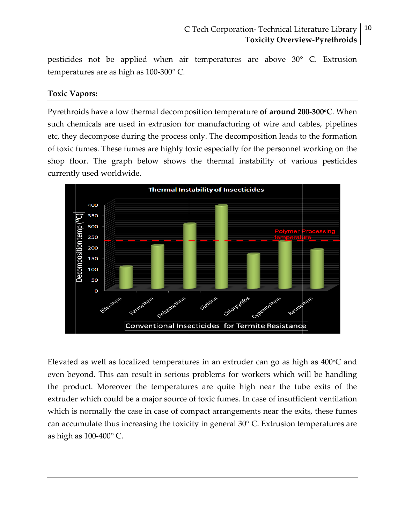#### 10 C Tech Corporation-Technical Literature Library **Toxicity Overview-Pyrethroids**

pesticides not be applied when air temperatures are above 30° C. Extrusion temperatures are as high as 100-300° C.

#### **Toxic Vapors:**

Pyrethroids have a low thermal decomposition temperature of around 200-300°C. When such chemicals are used in extrusion for manufacturing of wire and cables, pipelines etc, they decompose during the process only. The decomposition leads to the formation of toxic fumes. These fumes are highly toxic especially for the personnel working on the shop floor. The graph below shows the thermal instability of various pesticides currently used worldwide.



Elevated as well as localized temperatures in an extruder can go as high as  $400^{\circ}$ C and even beyond. This can result in serious problems for workers which will be handling the product. Moreover the temperatures are quite high near the tube exits of the extruder which could be a major source of toxic fumes. In case of insufficient ventilation which is normally the case in case of compact arrangements near the exits, these fumes can accumulate thus increasing the toxicity in general 30° C. Extrusion temperatures are as high as 100-400° C.